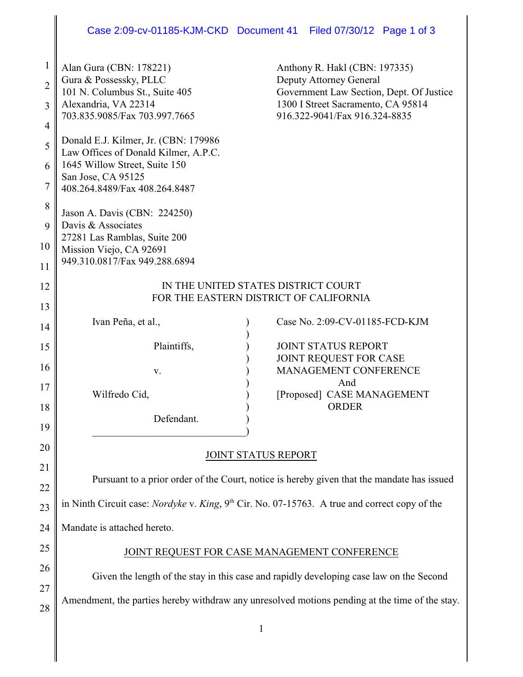## Case 2:09-cv-01185-KJM-CKD Document 41 Filed 07/30/12 Page 1 of 3

| $\mathbf{1}$<br>$\overline{2}$<br>3<br>$\overline{4}$ | Alan Gura (CBN: 178221)<br>Gura & Possessky, PLLC<br>101 N. Columbus St., Suite 405<br>Alexandria, VA 22314<br>703.835.9085/Fax 703.997.7665 | Anthony R. Hakl (CBN: 197335)<br><b>Deputy Attorney General</b><br>Government Law Section, Dept. Of Justice<br>1300 I Street Sacramento, CA 95814<br>916.322-9041/Fax 916.324-8835 |  |
|-------------------------------------------------------|----------------------------------------------------------------------------------------------------------------------------------------------|------------------------------------------------------------------------------------------------------------------------------------------------------------------------------------|--|
| 5<br>6                                                | Donald E.J. Kilmer, Jr. (CBN: 179986)<br>Law Offices of Donald Kilmer, A.P.C.<br>1645 Willow Street, Suite 150                               |                                                                                                                                                                                    |  |
| 7                                                     | San Jose, CA 95125<br>408.264.8489/Fax 408.264.8487                                                                                          |                                                                                                                                                                                    |  |
| 8<br>9                                                | Jason A. Davis (CBN: 224250)<br>Davis & Associates<br>27281 Las Ramblas, Suite 200                                                           |                                                                                                                                                                                    |  |
| 10<br>11                                              | Mission Viejo, CA 92691<br>949.310.0817/Fax 949.288.6894                                                                                     |                                                                                                                                                                                    |  |
| 12                                                    | IN THE UNITED STATES DISTRICT COURT<br>FOR THE EASTERN DISTRICT OF CALIFORNIA                                                                |                                                                                                                                                                                    |  |
| 13<br>14                                              | Ivan Peña, et al.,                                                                                                                           | Case No. 2:09-CV-01185-FCD-KJM                                                                                                                                                     |  |
| 15                                                    | Plaintiffs,                                                                                                                                  | <b>JOINT STATUS REPORT</b><br>JOINT REQUEST FOR CASE                                                                                                                               |  |
| 16                                                    | V.                                                                                                                                           | MANAGEMENT CONFERENCE<br>And                                                                                                                                                       |  |
| 17<br>18                                              | Wilfredo Cid,                                                                                                                                | [Proposed] CASE MANAGEMENT<br><b>ORDER</b>                                                                                                                                         |  |
| 19                                                    | Defendant.                                                                                                                                   |                                                                                                                                                                                    |  |
| 20<br>21                                              | JOINT STATUS REPORT                                                                                                                          |                                                                                                                                                                                    |  |
| 22                                                    | Pursuant to a prior order of the Court, notice is hereby given that the mandate has issued                                                   |                                                                                                                                                                                    |  |
| 23                                                    | in Ninth Circuit case: <i>Nordyke v. King</i> , 9 <sup>th</sup> Cir. No. 07-15763. A true and correct copy of the                            |                                                                                                                                                                                    |  |
| 24                                                    | Mandate is attached hereto.                                                                                                                  |                                                                                                                                                                                    |  |
| 25<br>26                                              | JOINT REQUEST FOR CASE MANAGEMENT CONFERENCE                                                                                                 |                                                                                                                                                                                    |  |
| 27                                                    | Given the length of the stay in this case and rapidly developing case law on the Second                                                      |                                                                                                                                                                                    |  |
| 28                                                    |                                                                                                                                              | Amendment, the parties hereby withdraw any unresolved motions pending at the time of the stay.                                                                                     |  |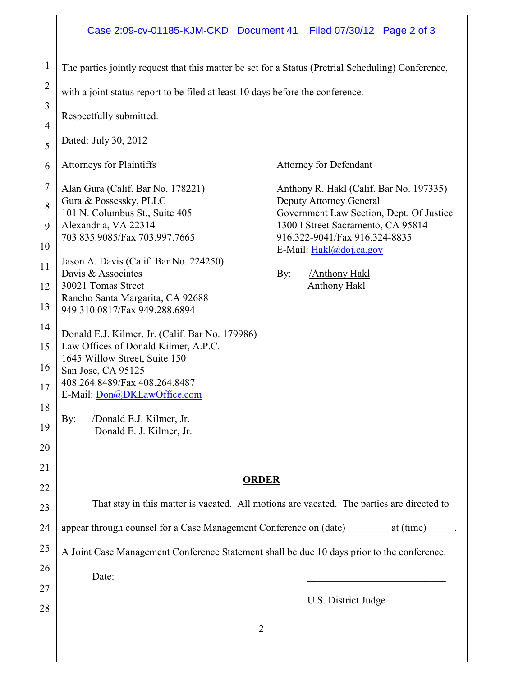## Case 2:09-cv-01185-KJM-CKD Document 41 Filed 07/30/12 Page 2 of 3

| The parties jointly request that this matter be set for a Status (Pretrial Scheduling) Conference,                    |                                                                                                                                                                                                                                                                                                                                                                                                                                                         |  |
|-----------------------------------------------------------------------------------------------------------------------|---------------------------------------------------------------------------------------------------------------------------------------------------------------------------------------------------------------------------------------------------------------------------------------------------------------------------------------------------------------------------------------------------------------------------------------------------------|--|
| with a joint status report to be filed at least 10 days before the conference.                                        |                                                                                                                                                                                                                                                                                                                                                                                                                                                         |  |
| Respectfully submitted.                                                                                               |                                                                                                                                                                                                                                                                                                                                                                                                                                                         |  |
| Dated: July 30, 2012                                                                                                  |                                                                                                                                                                                                                                                                                                                                                                                                                                                         |  |
| <b>Attorneys for Plaintiffs</b><br><b>Attorney for Defendant</b><br>6                                                 |                                                                                                                                                                                                                                                                                                                                                                                                                                                         |  |
| $\overline{7}$<br>Alan Gura (Calif. Bar No. 178221)                                                                   |                                                                                                                                                                                                                                                                                                                                                                                                                                                         |  |
| 8<br>101 N. Columbus St., Suite 405                                                                                   |                                                                                                                                                                                                                                                                                                                                                                                                                                                         |  |
| 703.835.9085/Fax 703.997.7665                                                                                         |                                                                                                                                                                                                                                                                                                                                                                                                                                                         |  |
| Jason A. Davis (Calif. Bar No. 224250)                                                                                |                                                                                                                                                                                                                                                                                                                                                                                                                                                         |  |
| 30021 Tomas Street<br><b>Anthony Hakl</b><br>12                                                                       |                                                                                                                                                                                                                                                                                                                                                                                                                                                         |  |
| Rancho Santa Margarita, CA 92688<br>13<br>949.310.0817/Fax 949.288.6894                                               |                                                                                                                                                                                                                                                                                                                                                                                                                                                         |  |
| 14                                                                                                                    |                                                                                                                                                                                                                                                                                                                                                                                                                                                         |  |
| Law Offices of Donald Kilmer, A.P.C.<br>1645 Willow Street, Suite 150<br>San Jose, CA 95125                           |                                                                                                                                                                                                                                                                                                                                                                                                                                                         |  |
|                                                                                                                       |                                                                                                                                                                                                                                                                                                                                                                                                                                                         |  |
| 18<br>/Donald E.J. Kilmer, Jr.<br>By:<br>19                                                                           |                                                                                                                                                                                                                                                                                                                                                                                                                                                         |  |
| 20                                                                                                                    |                                                                                                                                                                                                                                                                                                                                                                                                                                                         |  |
| 21                                                                                                                    |                                                                                                                                                                                                                                                                                                                                                                                                                                                         |  |
| <b>ORDER</b>                                                                                                          |                                                                                                                                                                                                                                                                                                                                                                                                                                                         |  |
| That stay in this matter is vacated. All motions are vacated. The parties are directed to                             |                                                                                                                                                                                                                                                                                                                                                                                                                                                         |  |
| appear through counsel for a Case Management Conference on (date) ________ at (time) ______.                          |                                                                                                                                                                                                                                                                                                                                                                                                                                                         |  |
| A Joint Case Management Conference Statement shall be due 10 days prior to the conference.                            |                                                                                                                                                                                                                                                                                                                                                                                                                                                         |  |
| 26<br>Date:                                                                                                           |                                                                                                                                                                                                                                                                                                                                                                                                                                                         |  |
| 27                                                                                                                    |                                                                                                                                                                                                                                                                                                                                                                                                                                                         |  |
|                                                                                                                       |                                                                                                                                                                                                                                                                                                                                                                                                                                                         |  |
| $\mathbf{1}$<br>$\overline{2}$<br>3<br>$\overline{4}$<br>5<br>9<br>10<br>11<br>15<br>16<br>22<br>23<br>24<br>25<br>28 | Anthony R. Hakl (Calif. Bar No. 197335)<br>Gura & Possessky, PLLC<br>Deputy Attorney General<br>Government Law Section, Dept. Of Justice<br>Alexandria, VA 22314<br>1300 I Street Sacramento, CA 95814<br>916.322-9041/Fax 916.324-8835<br>E-Mail: Hakl@doj.ca.gov<br>Davis & Associates<br>/Anthony Hakl<br>By:<br>Donald E.J. Kilmer, Jr. (Calif. Bar No. 179986)<br>408.264.8489/Fax 408.264.8487<br>Donald E. J. Kilmer, Jr.<br>U.S. District Judge |  |